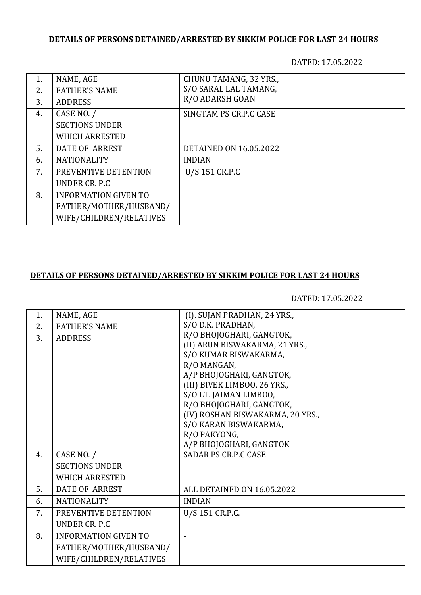## **DETAILS OF PERSONS DETAINED/ARRESTED BY SIKKIM POLICE FOR LAST 24 HOURS**

DATED: 17.05.2022

| 1. | NAME, AGE                   | CHUNU TAMANG, 32 YRS.,        |
|----|-----------------------------|-------------------------------|
| 2. | <b>FATHER'S NAME</b>        | S/O SARAL LAL TAMANG,         |
| 3. | <b>ADDRESS</b>              | R/O ADARSH GOAN               |
| 4. | CASE NO. /                  | SINGTAM PS CR.P.C CASE        |
|    | <b>SECTIONS UNDER</b>       |                               |
|    | <b>WHICH ARRESTED</b>       |                               |
| 5. | DATE OF ARREST              | <b>DETAINED ON 16.05.2022</b> |
| 6. | <b>NATIONALITY</b>          | <b>INDIAN</b>                 |
| 7. | PREVENTIVE DETENTION        | U/S 151 CR.P.C                |
|    | UNDER CR. P.C.              |                               |
| 8. | <b>INFORMATION GIVEN TO</b> |                               |
|    | FATHER/MOTHER/HUSBAND/      |                               |
|    | WIFE/CHILDREN/RELATIVES     |                               |

## **DETAILS OF PERSONS DETAINED/ARRESTED BY SIKKIM POLICE FOR LAST 24 HOURS**

DATED: 17.05.2022

| 1. | NAME, AGE                   | (I). SUJAN PRADHAN, 24 YRS.,     |
|----|-----------------------------|----------------------------------|
| 2. | <b>FATHER'S NAME</b>        | S/O D.K. PRADHAN,                |
| 3. | <b>ADDRESS</b>              | R/O BHOJOGHARI, GANGTOK,         |
|    |                             | (II) ARUN BISWAKARMA, 21 YRS.,   |
|    |                             | S/O KUMAR BISWAKARMA,            |
|    |                             | R/O MANGAN,                      |
|    |                             | A/P BHOJOGHARI, GANGTOK,         |
|    |                             | (III) BIVEK LIMBOO, 26 YRS.,     |
|    |                             | S/O LT. JAIMAN LIMBOO,           |
|    |                             | R/O BHOJOGHARI, GANGTOK,         |
|    |                             | (IV) ROSHAN BISWAKARMA, 20 YRS., |
|    |                             | S/O KARAN BISWAKARMA,            |
|    |                             | R/O PAKYONG,                     |
|    |                             | A/P BHOJOGHARI, GANGTOK          |
| 4. | CASE NO. /                  | SADAR PS CR.P.C CASE             |
|    | <b>SECTIONS UNDER</b>       |                                  |
|    | <b>WHICH ARRESTED</b>       |                                  |
| 5. | DATE OF ARREST              | ALL DETAINED ON 16.05.2022       |
| 6. | <b>NATIONALITY</b>          | <b>INDIAN</b>                    |
| 7. | PREVENTIVE DETENTION        | U/S 151 CR.P.C.                  |
|    | UNDER CR. P.C.              |                                  |
| 8. | <b>INFORMATION GIVEN TO</b> |                                  |
|    | FATHER/MOTHER/HUSBAND/      |                                  |
|    | WIFE/CHILDREN/RELATIVES     |                                  |